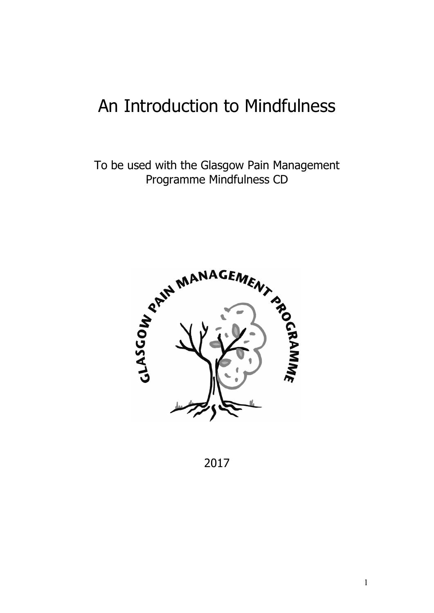# An Introduction to Mindfulness

To be used with the Glasgow Pain Management Programme Mindfulness CD



2017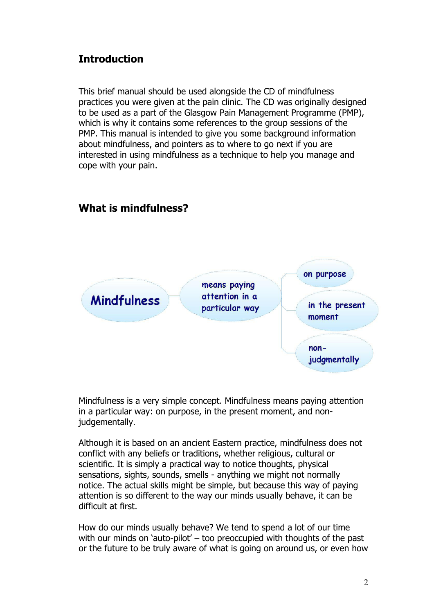# **Introduction**

This brief manual should be used alongside the CD of mindfulness practices you were given at the pain clinic. The CD was originally designed to be used as a part of the Glasgow Pain Management Programme (PMP), which is why it contains some references to the group sessions of the PMP. This manual is intended to give you some background information about mindfulness, and pointers as to where to go next if you are interested in using mindfulness as a technique to help you manage and cope with your pain.



# **What is mindfulness?**

Mindfulness is a very simple concept. Mindfulness means paying attention in a particular way: on purpose, in the present moment, and nonjudgementally.

Although it is based on an ancient Eastern practice, mindfulness does not conflict with any beliefs or traditions, whether religious, cultural or scientific. It is simply a practical way to notice thoughts, physical sensations, sights, sounds, smells - anything we might not normally notice. The actual skills might be simple, but because this way of paying attention is so different to the way our minds usually behave, it can be difficult at first.

How do our minds usually behave? We tend to spend a lot of our time with our minds on 'auto-pilot' – too preoccupied with thoughts of the past or the future to be truly aware of what is going on around us, or even how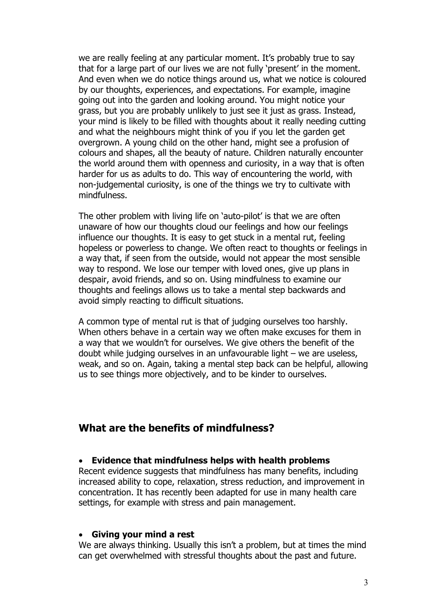we are really feeling at any particular moment. It's probably true to say that for a large part of our lives we are not fully 'present' in the moment. And even when we do notice things around us, what we notice is coloured by our thoughts, experiences, and expectations. For example, imagine going out into the garden and looking around. You might notice your grass, but you are probably unlikely to just see it just as grass. Instead, your mind is likely to be filled with thoughts about it really needing cutting and what the neighbours might think of you if you let the garden get overgrown. A young child on the other hand, might see a profusion of colours and shapes, all the beauty of nature. Children naturally encounter the world around them with openness and curiosity, in a way that is often harder for us as adults to do. This way of encountering the world, with non-judgemental curiosity, is one of the things we try to cultivate with mindfulness.

The other problem with living life on 'auto-pilot' is that we are often unaware of how our thoughts cloud our feelings and how our feelings influence our thoughts. It is easy to get stuck in a mental rut, feeling hopeless or powerless to change. We often react to thoughts or feelings in a way that, if seen from the outside, would not appear the most sensible way to respond. We lose our temper with loved ones, give up plans in despair, avoid friends, and so on. Using mindfulness to examine our thoughts and feelings allows us to take a mental step backwards and avoid simply reacting to difficult situations.

A common type of mental rut is that of judging ourselves too harshly. When others behave in a certain way we often make excuses for them in a way that we wouldn't for ourselves. We give others the benefit of the doubt while judging ourselves in an unfavourable light – we are useless, weak, and so on. Again, taking a mental step back can be helpful, allowing us to see things more objectively, and to be kinder to ourselves.

## **What are the benefits of mindfulness?**

#### **Evidence that mindfulness helps with health problems**

Recent evidence suggests that mindfulness has many benefits, including increased ability to cope, relaxation, stress reduction, and improvement in concentration. It has recently been adapted for use in many health care settings, for example with stress and pain management.

#### **Giving your mind a rest**

We are always thinking. Usually this isn't a problem, but at times the mind can get overwhelmed with stressful thoughts about the past and future.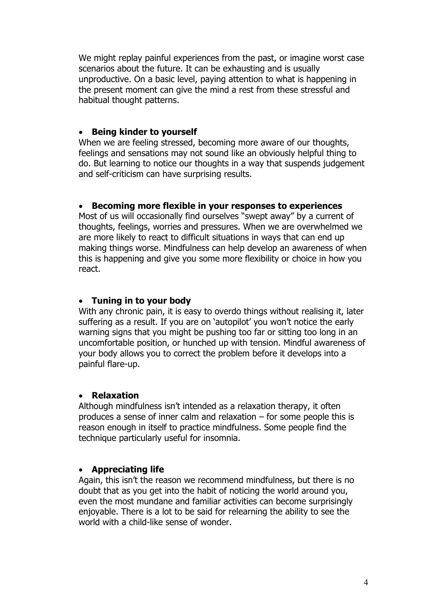We might replay painful experiences from the past, or imagine worst case scenarios about the future. It can be exhausting and is usually unproductive. On a basic level, paying attention to what is happening in the present moment can give the mind a rest from these stressful and habitual thought patterns.

#### **•** Being kinder to yourself

When we are feeling stressed, becoming more aware of our thoughts, feelings and sensations may not sound like an obviously helpful thing to do. But learning to notice our thoughts in a way that suspends judgement and self-criticism can have surprising results.

#### **Becoming more flexible in your responses to experiences**

Most of us will occasionally find ourselves "swept away" by a current of thoughts, feelings, worries and pressures. When we are overwhelmed we are more likely to react to difficult situations in ways that can end up making things worse. Mindfulness can help develop an awareness of when this is happening and give you some more flexibility or choice in how you react.

## **Tuning in to your body**

With any chronic pain, it is easy to overdo things without realising it, later suffering as a result. If you are on 'autopilot' you won't notice the early warning signs that you might be pushing too far or sitting too long in an uncomfortable position, or hunched up with tension. Mindful awareness of your body allows you to correct the problem before it develops into a painful flare-up.

## **Relaxation**

Although mindfulness isn't intended as a relaxation therapy, it often produces a sense of inner calm and relaxation – for some people this is reason enough in itself to practice mindfulness. Some people find the technique particularly useful for insomnia.

## **Appreciating life**

Again, this isn't the reason we recommend mindfulness, but there is no doubt that as you get into the habit of noticing the world around you, even the most mundane and familiar activities can become surprisingly enjoyable. There is a lot to be said for relearning the ability to see the world with a child-like sense of wonder.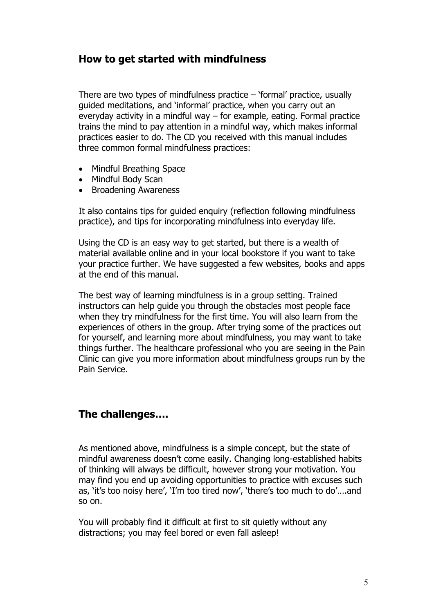## **How to get started with mindfulness**

There are two types of mindfulness practice  $-$  'formal' practice, usually guided meditations, and 'informal' practice, when you carry out an everyday activity in a mindful way – for example, eating. Formal practice trains the mind to pay attention in a mindful way, which makes informal practices easier to do. The CD you received with this manual includes three common formal mindfulness practices:

- Mindful Breathing Space
- Mindful Body Scan
- Broadening Awareness

It also contains tips for guided enquiry (reflection following mindfulness practice), and tips for incorporating mindfulness into everyday life.

Using the CD is an easy way to get started, but there is a wealth of material available online and in your local bookstore if you want to take your practice further. We have suggested a few websites, books and apps at the end of this manual.

The best way of learning mindfulness is in a group setting. Trained instructors can help guide you through the obstacles most people face when they try mindfulness for the first time. You will also learn from the experiences of others in the group. After trying some of the practices out for yourself, and learning more about mindfulness, you may want to take things further. The healthcare professional who you are seeing in the Pain Clinic can give you more information about mindfulness groups run by the Pain Service.

## **The challenges….**

As mentioned above, mindfulness is a simple concept, but the state of mindful awareness doesn't come easily. Changing long-established habits of thinking will always be difficult, however strong your motivation. You may find you end up avoiding opportunities to practice with excuses such as, 'it's too noisy here', 'I'm too tired now', 'there's too much to do'….and so on.

You will probably find it difficult at first to sit quietly without any distractions; you may feel bored or even fall asleep!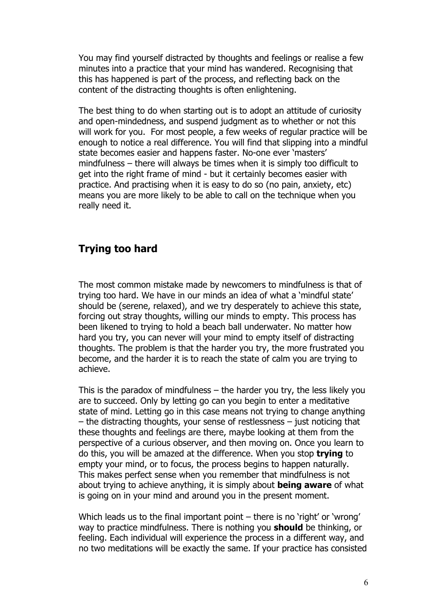You may find yourself distracted by thoughts and feelings or realise a few minutes into a practice that your mind has wandered. Recognising that this has happened is part of the process, and reflecting back on the content of the distracting thoughts is often enlightening.

The best thing to do when starting out is to adopt an attitude of curiosity and open-mindedness, and suspend judgment as to whether or not this will work for you. For most people, a few weeks of regular practice will be enough to notice a real difference. You will find that slipping into a mindful state becomes easier and happens faster. No-one ever 'masters' mindfulness – there will always be times when it is simply too difficult to get into the right frame of mind - but it certainly becomes easier with practice. And practising when it is easy to do so (no pain, anxiety, etc) means you are more likely to be able to call on the technique when you really need it.

## **Trying too hard**

The most common mistake made by newcomers to mindfulness is that of trying too hard. We have in our minds an idea of what a 'mindful state' should be (serene, relaxed), and we try desperately to achieve this state, forcing out stray thoughts, willing our minds to empty. This process has been likened to trying to hold a beach ball underwater. No matter how hard you try, you can never will your mind to empty itself of distracting thoughts. The problem is that the harder you try, the more frustrated you become, and the harder it is to reach the state of calm you are trying to achieve.

This is the paradox of mindfulness – the harder you try, the less likely you are to succeed. Only by letting go can you begin to enter a meditative state of mind. Letting go in this case means not trying to change anything – the distracting thoughts, your sense of restlessness – just noticing that these thoughts and feelings are there, maybe looking at them from the perspective of a curious observer, and then moving on. Once you learn to do this, you will be amazed at the difference. When you stop **trying** to empty your mind, or to focus, the process begins to happen naturally. This makes perfect sense when you remember that mindfulness is not about trying to achieve anything, it is simply about **being aware** of what is going on in your mind and around you in the present moment.

Which leads us to the final important point – there is no 'right' or 'wrong' way to practice mindfulness. There is nothing you **should** be thinking, or feeling. Each individual will experience the process in a different way, and no two meditations will be exactly the same. If your practice has consisted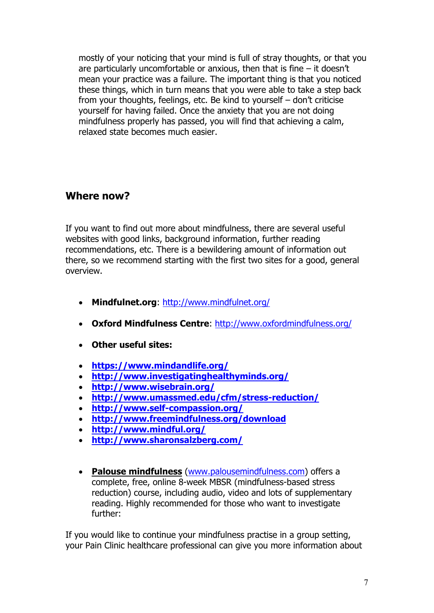mostly of your noticing that your mind is full of stray thoughts, or that you are particularly uncomfortable or anxious, then that is fine – it doesn't mean your practice was a failure. The important thing is that you noticed these things, which in turn means that you were able to take a step back from your thoughts, feelings, etc. Be kind to yourself – don't criticise yourself for having failed. Once the anxiety that you are not doing mindfulness properly has passed, you will find that achieving a calm, relaxed state becomes much easier.

## **Where now?**

If you want to find out more about mindfulness, there are several useful websites with good links, background information, further reading recommendations, etc. There is a bewildering amount of information out there, so we recommend starting with the first two sites for a good, general overview.

- **Mindfulnet.org**:<http://www.mindfulnet.org/>
- **Oxford Mindfulness Centre**:<http://www.oxfordmindfulness.org/>
- **Other useful sites:**
- **<https://www.mindandlife.org/>**
- **<http://www.investigatinghealthyminds.org/>**
- **<http://www.wisebrain.org/>**
- **<http://www.umassmed.edu/cfm/stress-reduction/>**
- **<http://www.self-compassion.org/>**
- **<http://www.freemindfulness.org/download>**
- **<http://www.mindful.org/>**
- **<http://www.sharonsalzberg.com/>**
- **Palouse mindfulness** [\(www.palousemindfulness.com](http://www.palousemindfulness.com/)) offers a complete, free, online 8-week MBSR (mindfulness-based stress reduction) course, including audio, video and lots of supplementary reading. Highly recommended for those who want to investigate further:

If you would like to continue your mindfulness practise in a group setting, your Pain Clinic healthcare professional can give you more information about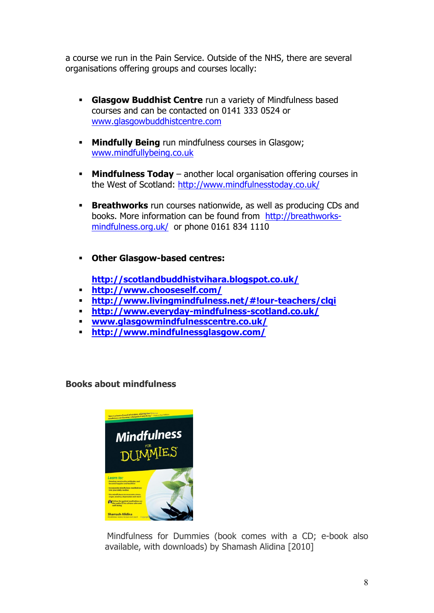a course we run in the Pain Service. Outside of the NHS, there are several organisations offering groups and courses locally:

- **Glasgow Buddhist Centre** run a variety of Mindfulness based courses and can be contacted on 0141 333 0524 or [www.glasgowbuddhistcentre.com](http://www.glasgowbuddhistcentre.com/)
- **Mindfully Being** run mindfulness courses in Glasgow; [www.mindfullybeing.co.uk](http://www.mindfullybeing.co.uk/)
- **Mindfulness Today**  another local organisation offering courses in the West of Scotland:<http://www.mindfulnesstoday.co.uk/>
- **Breathworks** run courses nationwide, as well as producing CDs and books. More information can be found from [http://breathworks](http://breathworks-mindfulness.org.uk/)[mindfulness.org.uk/](http://breathworks-mindfulness.org.uk/) or phone 0161 834 1110
- **Other Glasgow-based centres:**

**<http://scotlandbuddhistvihara.blogspot.co.uk/>**

- **<http://www.chooseself.com/>**
- **<http://www.livingmindfulness.net/#!our-teachers/clqi>**
- **<http://www.everyday-mindfulness-scotland.co.uk/>**
- **[www.glasgowmindfulnesscentre.co.uk/](http://www.glasgowmindfulnesscentre.co.uk/)**
- **<http://www.mindfulnessglasgow.com/>**

**Books about mindfulness**



Mindfulness for Dummies (book comes with a CD; e-book also available, with downloads) by Shamash Alidina [2010]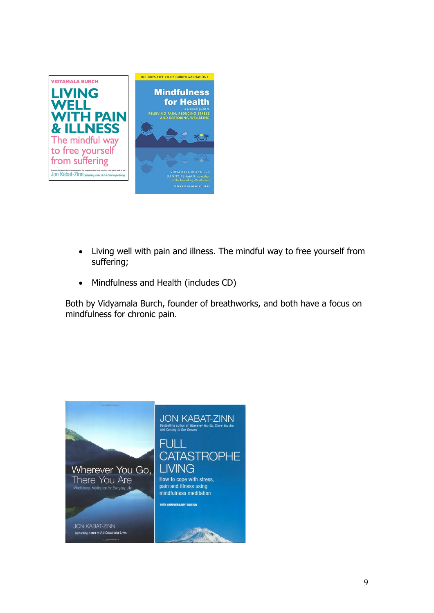

- Living well with pain and illness. The mindful way to free yourself from suffering;
- Mindfulness and Health (includes CD)

Both by Vidyamala Burch, founder of breathworks, and both have a focus on mindfulness for chronic pain.

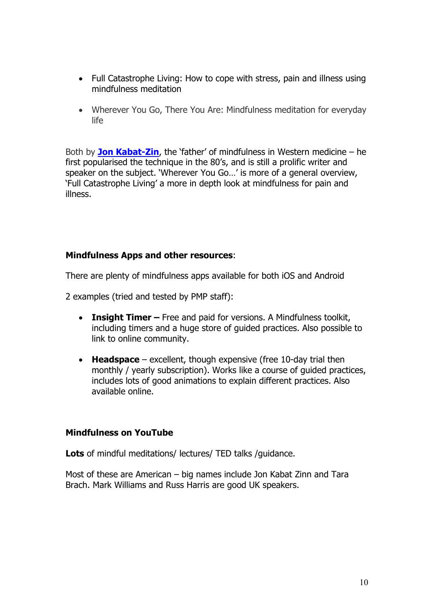- Full Catastrophe Living: How to cope with stress, pain and illness using mindfulness meditation
- Wherever You Go, There You Are: Mindfulness meditation for everyday life

Both by **[Jon Kabat-Zin](http://www.amazon.co.uk/Jon-Kabat-Zinn/e/B000AQ12GA/ref=ntt_athr_dp_pel_1)**, the 'father' of mindfulness in Western medicine – he first popularised the technique in the 80's, and is still a prolific writer and speaker on the subject. 'Wherever You Go…' is more of a general overview, 'Full Catastrophe Living' a more in depth look at mindfulness for pain and illness.

## **Mindfulness Apps and other resources**:

There are plenty of mindfulness apps available for both iOS and Android

2 examples (tried and tested by PMP staff):

- **Insight Timer** Free and paid for versions. A Mindfulness toolkit, including timers and a huge store of guided practices. Also possible to link to online community.
- **Headspace**  excellent, though expensive (free 10-day trial then monthly / yearly subscription). Works like a course of guided practices, includes lots of good animations to explain different practices. Also available online.

## **Mindfulness on YouTube**

**Lots** of mindful meditations/ lectures/ TED talks /guidance.

Most of these are American – big names include Jon Kabat Zinn and Tara Brach. Mark Williams and Russ Harris are good UK speakers.